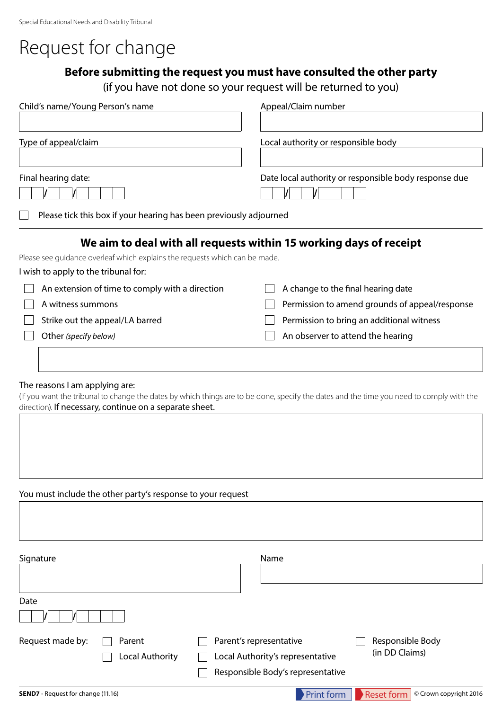# Request for change

### **Before submitting the request you must have consulted the other party**

(if you have not done so your request will be returned to you)

| Child's name/Young Person's name                                            | Appeal/Claim number                                                |  |  |
|-----------------------------------------------------------------------------|--------------------------------------------------------------------|--|--|
| Type of appeal/claim                                                        | Local authority or responsible body                                |  |  |
| Final hearing date:                                                         | Date local authority or responsible body response due              |  |  |
| Please tick this box if your hearing has been previously adjourned          |                                                                    |  |  |
|                                                                             | We aim to deal with all requests within 15 working days of receipt |  |  |
| Please see quidance overleaf which explains the requests which can be made. |                                                                    |  |  |
| I wish to apply to the tribunal for:                                        |                                                                    |  |  |
| An extension of time to comply with a direction                             | A change to the final hearing date                                 |  |  |
| A witness summons                                                           | Permission to amend grounds of appeal/response                     |  |  |
| Strike out the appeal/LA barred                                             | Permission to bring an additional witness                          |  |  |
| Other (specify below)                                                       | An observer to attend the hearing                                  |  |  |
|                                                                             |                                                                    |  |  |
|                                                                             |                                                                    |  |  |

#### The reasons I am applying are:

(If you want the tribunal to change the dates by which things are to be done, specify the dates and the time you need to comply with the direction). If necessary, continue on a separate sheet.

#### You must include the other party's response to your request

| Signature                                 |                           | Name                                                                                             |                                             |
|-------------------------------------------|---------------------------|--------------------------------------------------------------------------------------------------|---------------------------------------------|
| Date                                      |                           |                                                                                                  |                                             |
| Request made by:                          | Parent<br>Local Authority | Parent's representative<br>Local Authority's representative<br>Responsible Body's representative | Responsible Body<br>(in DD Claims)          |
| <b>SEND7</b> - Request for change (11.16) |                           | Print form                                                                                       | <b>Reset form</b><br>© Crown copyright 2016 |